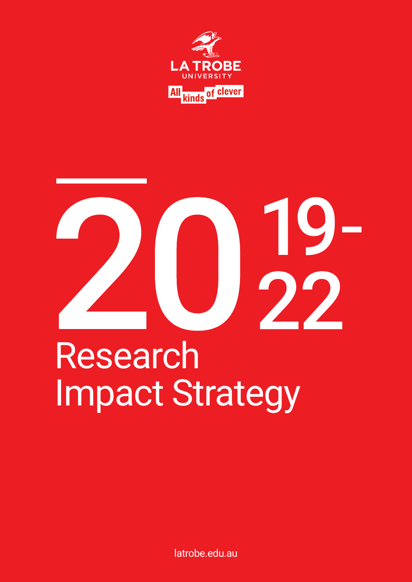

# 19 $\overline{\phantom{0}}$ Research Impact Strategy

[latrobe.edu.au](http://www.latrobe.edu.au)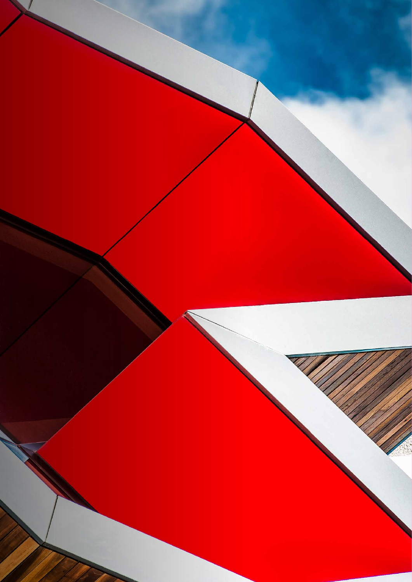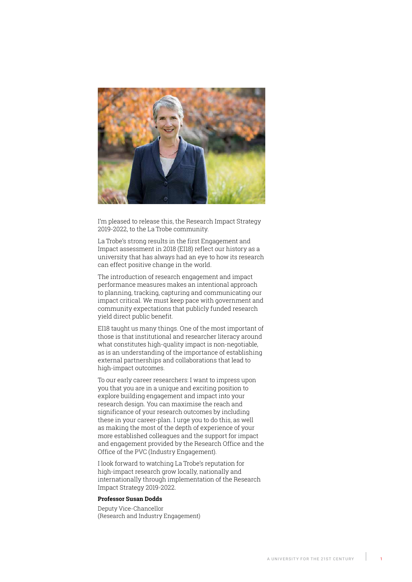

I'm pleased to release this, the Research Impact Strategy 2019-2022, to the La Trobe community.

La Trobe's strong results in the first Engagement and Impact assessment in 2018 (EI18) reflect our history as a university that has always had an eye to how its research can effect positive change in the world.

The introduction of research engagement and impact performance measures makes an intentional approach to planning, tracking, capturing and communicating our impact critical. We must keep pace with government and community expectations that publicly funded research yield direct public benefit.

EI18 taught us many things. One of the most important of those is that institutional and researcher literacy around what constitutes high-quality impact is non-negotiable, as is an understanding of the importance of establishing external partnerships and collaborations that lead to high-impact outcomes.

To our early career researchers: I want to impress upon you that you are in a unique and exciting position to explore building engagement and impact into your research design. You can maximise the reach and significance of your research outcomes by including these in your career-plan. I urge you to do this, as well as making the most of the depth of experience of your more established colleagues and the support for impact and engagement provided by the Research Office and the Office of the PVC (Industry Engagement).

I look forward to watching La Trobe's reputation for high-impact research grow locally, nationally and internationally through implementation of the Research Impact Strategy 2019-2022.

#### **Professor Susan Dodds**

Deputy Vice-Chancellor (Research and Industry Engagement)

1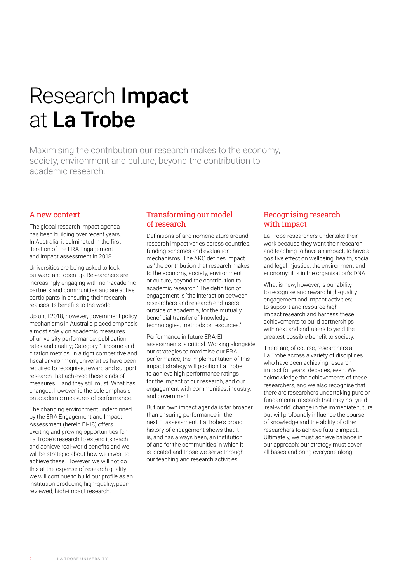# Research Impact at La Trobe

Maximising the contribution our research makes to the economy, society, environment and culture, beyond the contribution to academic research.

#### A new context

The global research impact agenda has been building over recent years. In Australia, it culminated in the first iteration of the ERA Engagement and Impact assessment in 2018.

Universities are being asked to look outward and open up. Researchers are increasingly engaging with non-academic partners and communities and are active participants in ensuring their research realises its benefits to the world.

Up until 2018, however, government policy mechanisms in Australia placed emphasis almost solely on academic measures of university performance: publication rates and quality; Category 1 income and citation metrics. In a tight competitive and fiscal environment, universities have been required to recognise, reward and support research that achieved these kinds of measures – and they still must. What has changed, however, is the sole emphasis on academic measures of performance.

The changing environment underpinned by the ERA Engagement and Impact Assessment (herein EI-18) offers exciting and growing opportunities for La Trobe's research to extend its reach and achieve real-world benefits and we will be strategic about how we invest to achieve these. However, we will not do this at the expense of research quality; we will continue to build our profile as an institution producing high-quality, peerreviewed, high-impact research.

### Transforming our model of research

Definitions of and nomenclature around research impact varies across countries, funding schemes and evaluation mechanisms. The ARC defines impact as 'the contribution that research makes to the economy, society, environment or culture, beyond the contribution to academic research.' The definition of engagement is 'the interaction between researchers and research end-users outside of academia, for the mutually beneficial transfer of knowledge, technologies, methods or resources.'

Performance in future ERA-EI assessments is critical. Working alongside our strategies to maximise our ERA performance, the implementation of this impact strategy will position La Trobe to achieve high performance ratings for the impact of our research, and our engagement with communities, industry, and government.

But our own impact agenda is far broader than ensuring performance in the next EI assessment. La Trobe's proud history of engagement shows that it is, and has always been, an institution of and for the communities in which it is located and those we serve through our teaching and research activities.

### Recognising research with impact

La Trobe researchers undertake their work because they want their research and teaching to have an impact, to have a positive effect on wellbeing, health, social and legal injustice, the environment and economy: it is in the organisation's DNA.

What is new, however, is our ability to recognise and reward high-quality engagement and impact activities; to support and resource highimpact research and harness these achievements to build partnerships with next and end-users to yield the greatest possible benefit to society.

There are, of course, researchers at La Trobe across a variety of disciplines who have been achieving research impact for years, decades, even. We acknowledge the achievements of these researchers, and we also recognise that there are researchers undertaking pure or fundamental research that may not yield 'real-world' change in the immediate future but will profoundly influence the course of knowledge and the ability of other researchers to achieve future impact. Ultimately, we must achieve balance in our approach: our strategy must cover all bases and bring everyone along.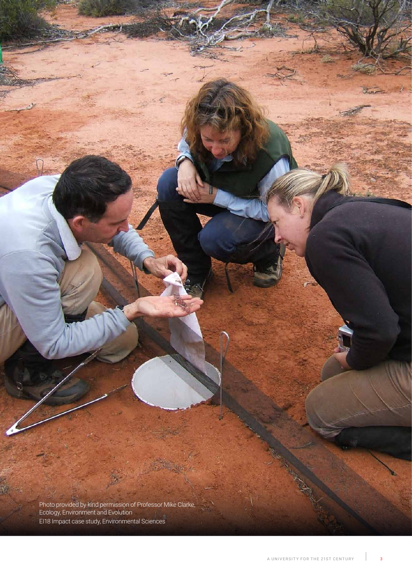Photo provided by kind permission of Professor Mike Clarke, Ecology, Environment and Evolution EI18 Impact case study, Environmental Sciences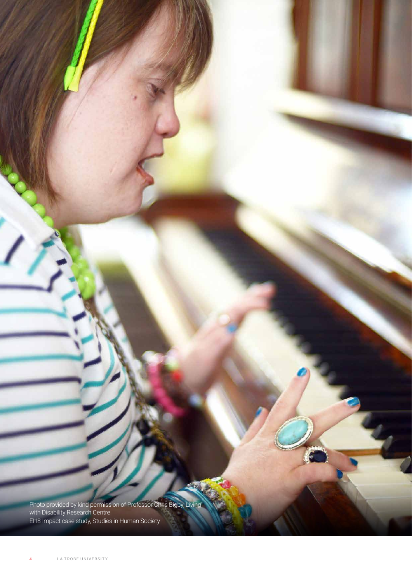Photo provided by kind permission of Professor Chris Bigby, Living with Disability Research Centre EI18 Impact case study, Studies in Human Society

-134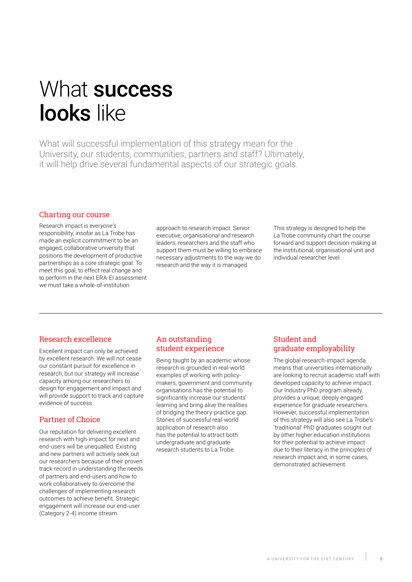# What success looks like

What will successful implementation of this strategy mean for the University, our students, communities, partners and staff? Ultimately, it will help drive several fundamental aspects of our strategic goals.

#### Charting our course

Research impact is *everyone's* responsibility, insofar as La Trobe has made an explicit commitment to be an engaged, collaborative university that positions the development of productive partnerships as a core strategic goal. To meet this goal, to effect real change and to perform in the next ERA-EI assessment we must take a whole-of-institution

approach to research impact. Senior executive, organisational and research leaders, researchers and the staff who support them must be willing to embrace necessary adjustments to the way we do research and the way it is managed.

This strategy is designed to help the La Trobe community chart the course forward and support decision-making at the institutional, organisational unit and individual researcher level.

#### Research excellence

Excellent impact can only be achieved by excellent research. We will not cease our constant pursuit for excellence in research, but our strategy will increase capacity among our researchers to design for engagement and impact and will provide support to track and capture evidence of success.

# Partner of Choice

Our reputation for delivering excellent research with high-impact for next and end-users will be unequalled. Existing and new partners will actively seek out our researchers because of their proven track-record in understanding the needs of partners and end-users and how to work collaboratively to overcome the challenges of implementing research outcomes to achieve benefit. Strategic engagement will increase our end-user (Category 2-4) income stream.

# An outstanding student experience

Being taught by an academic whose research is grounded in real-world examples of working with policymakers, government and community organisations has the potential to significantly increase our students' learning and bring alive the realities of bridging the theory-practice gap. Stories of successful real-world application of research also has the potential to attract both undergraduate and graduate research students to La Trobe.

### Student and graduate employability

The global research-impact agenda means that universities internationally are looking to recruit academic staff with developed capacity to achieve impact. Our Industry PhD program already provides a unique, deeply engaged experience for graduate researchers. However, successful implementation of this strategy will also see La Trobe's 'traditional' PhD graduates sought out by other higher education institutions for their potential to achieve impact due to their literacy in the principles of research impact and, in some cases, demonstrated achievement.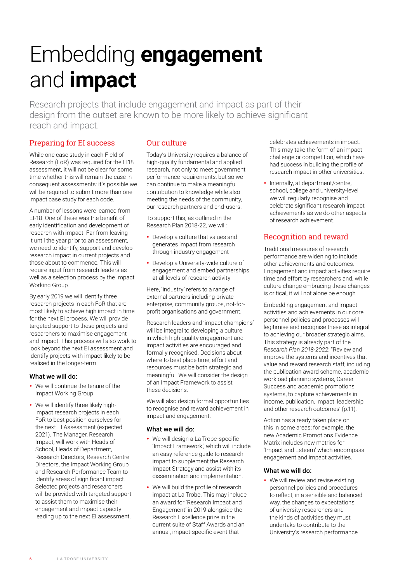# Embedding **engagement** and **impact**

Research projects that include engagement and impact as part of their design from the outset are known to be more likely to achieve significant reach and impact.

# Preparing for EI success

While one case study in each Field of Research (FoR) was required for the EI18 assessment, it will not be clear for some time whether this will remain the case in consequent assessments: it's possible we will be required to submit more than one impact case study for each code.

A number of lessons were learned from EI-18. One of these was the benefit of early identification and development of research with impact. Far from leaving it until the year prior to an assessment, we need to identify, support and develop research impact in current projects and those about to commence. This will require input from research leaders as well as a selection process by the Impact Working Group.

By early 2019 we will identify three research projects in each FoR that are most likely to achieve high impact in time for the next EI process. We will provide targeted support to these projects and researchers to maximise engagement and impact. This process will also work to look beyond the next EI assessment and identify projects with impact likely to be realised in the longer-term.

#### What we will do:

- We will continue the tenure of the Impact Working Group
- We will identify three likely highimpact research projects in each FoR to best position ourselves for the next EI Assessment (expected 2021). The Manager, Research Impact, will work with Heads of School, Heads of Department, Research Directors, Research Centre Directors, the Impact Working Group and Research Performance Team to identify areas of significant impact. Selected projects and researchers will be provided with targeted support to assist them to maximise their engagement and impact capacity leading up to the next EI assessment.

#### Our culture

Today's University requires a balance of high-quality fundamental and applied research, not only to meet government performance requirements, but so we can continue to make a meaningful contribution to knowledge while also meeting the needs of the community, our research partners and end-users.

To support this, as outlined in the Research Plan 2018-22, we will:

- Develop a culture that values and generates impact from research through industry engagement
- Develop a University-wide culture of engagement and embed partnerships at all levels of research activity

Here, 'industry' refers to a range of external partners including private enterprise, community groups, not-forprofit organisations and government.

Research leaders and 'impact champions' will be integral to developing a culture in which high quality engagement and impact activities are encouraged and formally recognised. Decisions about where to best place time, effort and resources must be both strategic and meaningful. We will consider the design of an Impact Framework to assist these decisions.

We will also design formal opportunities to recognise and reward achievement in impact and engagement.

#### What we will do:

- We will design a La Trobe-specific 'Impact Framework', which will include an easy reference guide to research impact to supplement the Research Impact Strategy and assist with its dissemination and implementation.
- We will build the profile of research impact at La Trobe. This may include an award for 'Research Impact and Engagement' in 2019 alongside the Research Excellence prize in the current suite of Staff Awards and an annual, impact-specific event that

celebrates achievements in impact. This may take the form of an impact challenge or competition, which have had success in building the profile of research impact in other universities.

• Internally, at department/centre, school, college and university-level we will regularly recognise and celebrate significant research impact achievements as we do other aspects of research achievement.

# Recognition and reward

Traditional measures of research performance are widening to include other achievements and outcomes. Engagement and impact activities require time and effort by researchers and, while culture change embracing these changes is critical, it will not alone be enough.

Embedding engagement and impact activities and achievements in our core personnel policies and processes will legitimise and recognise these as integral to achieving our broader strategic aims. This strategy is already part of the *Research Plan 2018-2022*: "Review and improve the systems and incentives that value and reward research staff, including the publication award scheme, academic workload planning systems, Career Success and academic promotions systems, to capture achievements in income, publication, impact, leadership and other research outcomes' (p.11).

Action has already taken place on this in some areas; for example, the new Academic Promotions Evidence Matrix includes new metrics for 'Impact and Esteem' which encompass engagement and impact activities.

#### What we will do:

• We will review and revise existing personnel policies and procedures to reflect, in a sensible and balanced way, the changes to expectations of university researchers and the kinds of activities they must undertake to contribute to the University's research performance.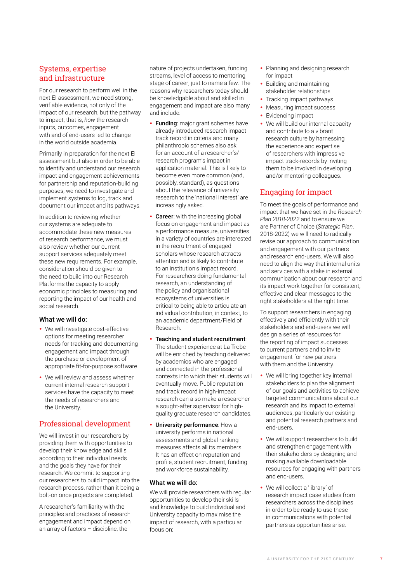# Systems, expertise and infrastructure

For our research to perform well in the next EI assessment, we need strong, verifiable evidence, not only of the impact of our research, but the pathway to impact; that is, *how* the research inputs, outcomes, engagement with and of end-users led to change in the world outside academia.

Primarily in preparation for the next EI assessment but also in order to be able to identify and understand our research impact and engagement achievements for partnership and reputation-building purposes, we need to investigate and implement systems to log, track and document our impact and its pathways.

In addition to reviewing whether our systems are adequate to accommodate these new measures of research performance, we must also review whether our current support services adequately meet these new requirements. For example, consideration should be given to the need to build into our Research Platforms the capacity to apply economic principles to measuring and reporting the impact of our health and social research.

#### What we will do:

- We will investigate cost-effective options for meeting researcher needs for tracking and documenting engagement and impact through the purchase or development of appropriate fit-for-purpose software
- We will review and assess whether current internal research support services have the capacity to meet the needs of researchers and the University.

## Professional development

We will invest in our researchers by providing them with opportunities to develop their knowledge and skills according to their individual needs and the goals they have for their research. We commit to supporting our researchers to build impact into the research process, rather than it being a bolt-on once projects are completed.

A researcher's familiarity with the principles and practices of research engagement and impact depend on an array of factors – discipline, the

nature of projects undertaken, funding streams, level of access to mentoring, stage of career; just to name a few. The reasons why researchers today should be knowledgable about and skilled in engagement and impact are also many and include:

- Funding: major grant schemes have already introduced research impact track record in criteria and many philanthropic schemes also ask for an account of a researcher's/ research program's impact in application material. This is likely to become even more common (and, possibly, standard), as questions about the relevance of university research to the 'national interest' are increasingly asked.
- **Career:** with the increasing global focus on engagement and impact as a performance measure, universities in a variety of countries are interested in the recruitment of engaged scholars whose research attracts attention and is likely to contribute to an institution's impact record. For researchers doing fundamental research, an understanding of the policy and organisational ecosystems of universities is critical to being able to articulate an individual contribution, in context, to an academic department/Field of Research.
- Teaching and student recruitment: The student experience at La Trobe will be enriched by teaching delivered by academics who are engaged and connected in the professional contexts into which their students will eventually move. Public reputation and track record in high-impact research can also make a researcher a sought-after supervisor for highquality graduate research candidates.
- University performance: How a university performs in national assessments and global ranking measures affects all its members. It has an effect on reputation and profile, student recruitment, funding and workforce sustainability.

#### What we will do:

We will provide researchers with regular opportunities to develop their skills and knowledge to build individual and University capacity to maximise the impact of research, with a particular focus on:

- Planning and designing research for impact
- Building and maintaining stakeholder relationships
- Tracking impact pathways
- Measuring impact success
- Evidencing impact
- We will build our internal capacity and contribute to a vibrant research culture by harnessing the experience and expertise of researchers with impressive impact track-records by inviting them to be involved in developing and/or mentoring colleagues.

# Engaging for impact

To meet the goals of performance and impact that we have set in the *Research Plan 2018-2022* and to ensure we are Partner of Choice (*Strategic Plan*, 2018-2022) we will need to radically revise our approach to communication and engagement with our partners and research end-users. We will also need to align the way that internal units and services with a stake in external communication about our research and its impact work together for consistent, effective and clear messages to the right stakeholders at the right time.

To support researchers in engaging effectively and efficiently with their stakeholders and end-users we will design a series of resources for the reporting of impact successes to current partners and to invite engagement for new partners with them and the University.

- We will bring together key internal stakeholders to plan the alignment of our goals and activities to achieve targeted communications about our research and its impact to external audiences, particularly our existing and potential research partners and end-users.
- We will support researchers to build and strengthen engagement with their stakeholders by designing and making available downloadable resources for engaging with partners and end-users.
- We will collect a 'library' of research impact case studies from researchers across the disciplines in order to be ready to use these in communications with potential partners as opportunities arise.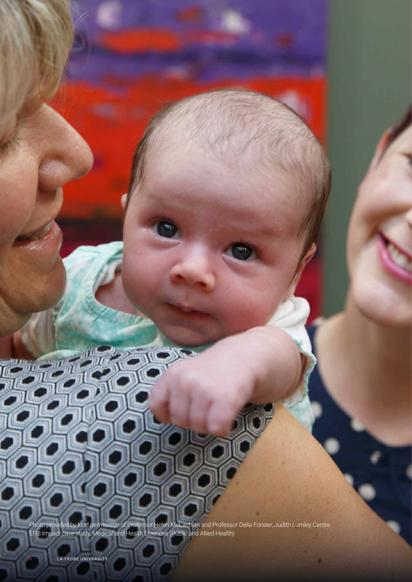Photo provided by kind permission of Professor Helen McLachlan and Professor Della Forster, Judith Lumley Centre EI18 Impact case study, Medical and Health Sciences (Public and Allied Health)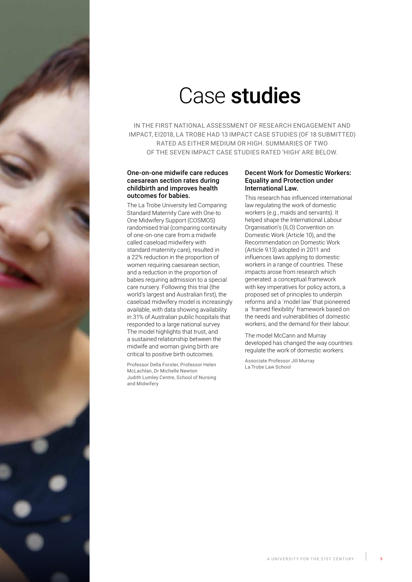

# Case studies

IN THE FIRST NATIONAL ASSESSMENT OF RESEARCH ENGAGEMENT AND IMPACT, EI2018, LA TROBE HAD 13 IMPACT CASE STUDIES (OF 18 SUBMITTED) RATED AS EITHER MEDIUM OR HIGH. SUMMARIES OF TWO OF THE SEVEN IMPACT CASE STUDIES RATED 'HIGH' ARE BELOW.

#### One-on-one midwife care reduces caesarean section rates during childbirth and improves health outcomes for babies.

The La Trobe University led Comparing Standard Maternity Care with One-to One Midwifery Support (COSMOS) randomised trial (comparing continuity of one-on-one care from a midwife called caseload midwifery with standard maternity care), resulted in a 22% reduction in the proportion of women requiring caesarean section, and a reduction in the proportion of babies requiring admission to a special care nursery. Following this trial (the world's largest and Australian first), the caseload midwifery model is increasingly available, with data showing availability in 31% of Australian public hospitals that responded to a large national survey. The model highlights that trust, and a sustained relationship between the midwife and woman giving birth are critical to positive birth outcomes.

Professor Della Forster, Professor Helen McLachlan, Dr Michelle Newton Judith Lumley Centre, School of Nursing and Midwifery

#### Decent Work for Domestic Workers: Equality and Protection under International Law.

This research has influenced international law regulating the work of domestic workers (e.g., maids and servants). It helped shape the International Labour Organisation's (ILO) Convention on Domestic Work (Article 10), and the Recommendation on Domestic Work (Article 9.13) adopted in 2011 and influences laws applying to domestic workers in a range of countries. These impacts arose from research which generated: a conceptual framework with key imperatives for policy actors, a proposed set of principles to underpin reforms and a `model law' that pioneered a `framed flexibility' framework based on the needs and vulnerabilities of domestic workers, and the demand for their labour.

The model McCann and Murray developed has changed the way countries regulate the work of domestic workers.

Associate Professor Jill Murray La Trobe Law School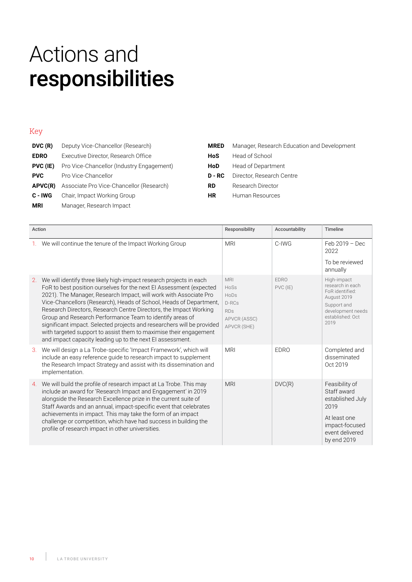# Actions and responsibilities

### Key

| DVC(R)      | Deputy Vice-Chancellor (Research)         | <b>MRED</b> | Manager, Research Educa   |
|-------------|-------------------------------------------|-------------|---------------------------|
| <b>EDRO</b> | Executive Director, Research Office       | <b>HoS</b>  | Head of School            |
| PVC (IE)    | Pro Vice-Chancellor (Industry Engagement) | HoD         | Head of Department        |
| <b>PVC</b>  | Pro Vice-Chancellor                       | D - RC      | Director, Research Centre |
| APVC(R)     | Associate Pro Vice-Chancellor (Research)  | <b>RD</b>   | <b>Research Director</b>  |
| C - IWG     | Chair, Impact Working Group               | HR          | Human Resources           |
| <b>MRI</b>  | Manager, Research Impact                  |             |                           |

| DVC (R)        | Deputy Vice-Chancellor (Research)         | <b>MRED</b> | Manager, Research Education and Development |
|----------------|-------------------------------------------|-------------|---------------------------------------------|
| <b>EDRO</b>    | Executive Director, Research Office       | <b>HoS</b>  | Head of School                              |
| PVC (IE)       | Pro Vice-Chancellor (Industry Engagement) | HoD         | Head of Department                          |
| <b>PVC</b>     | Pro Vice-Chancellor                       | D - RC      | Director, Research Centre                   |
| <b>APVC(R)</b> | Associate Pro Vice-Chancellor (Research)  | <b>RD</b>   | Research Director                           |
| C - IWG        | Chair, Impact Working Group               | HR          | Human Resources                             |

| Action         |                                                                                                                                                                                                                                                                                                                                                                                                                                                                                                                                                                                                                                    | Responsibility                                                                                   | Accountability               | <b>Timeline</b>                                                                                                                   |
|----------------|------------------------------------------------------------------------------------------------------------------------------------------------------------------------------------------------------------------------------------------------------------------------------------------------------------------------------------------------------------------------------------------------------------------------------------------------------------------------------------------------------------------------------------------------------------------------------------------------------------------------------------|--------------------------------------------------------------------------------------------------|------------------------------|-----------------------------------------------------------------------------------------------------------------------------------|
| $\mathbf{1}$ . | We will continue the tenure of the Impact Working Group                                                                                                                                                                                                                                                                                                                                                                                                                                                                                                                                                                            | <b>MRI</b>                                                                                       | $C$ -IWG                     | $Feb 2019 - Dec$<br>2022<br>To be reviewed<br>annually                                                                            |
| 2.             | We will identify three likely high-impact research projects in each<br>FoR to best position ourselves for the next EI Assessment (expected<br>2021). The Manager, Research Impact, will work with Associate Pro<br>Vice-Chancellors (Research), Heads of School, Heads of Department,<br>Research Directors, Research Centre Directors, the Impact Working<br>Group and Research Performance Team to identify areas of<br>significant impact. Selected projects and researchers will be provided<br>with targeted support to assist them to maximise their engagement<br>and impact capacity leading up to the next EI assessment. | <b>MRI</b><br>HoSs<br><b>HoDs</b><br>$D-RCs$<br><b>RDs</b><br><b>APVCR (ASSC)</b><br>APVCR (SHE) | <b>FDRO</b><br>$PVC$ ( $ E $ | High-impact<br>research in each<br>FoR identified:<br>August 2019<br>Support and<br>development needs<br>established: Oct<br>2019 |
| 3.             | We will design a La Trobe-specific 'Impact Framework', which will<br>include an easy reference guide to research impact to supplement<br>the Research Impact Strategy and assist with its dissemination and<br>implementation.                                                                                                                                                                                                                                                                                                                                                                                                     | <b>MRI</b>                                                                                       | <b>EDRO</b>                  | Completed and<br>disseminated<br>Oct 2019                                                                                         |
| 4.             | We will build the profile of research impact at La Trobe. This may<br>include an award for 'Research Impact and Engagement' in 2019<br>alongside the Research Excellence prize in the current suite of<br>Staff Awards and an annual, impact-specific event that celebrates<br>achievements in impact. This may take the form of an impact<br>challenge or competition, which have had success in building the<br>profile of research impact in other universities.                                                                                                                                                                | <b>MRI</b>                                                                                       | DVC(R)                       | Feasibility of<br>Staff award<br>established July<br>2019<br>At least one<br>impact-focused<br>event delivered<br>by end 2019     |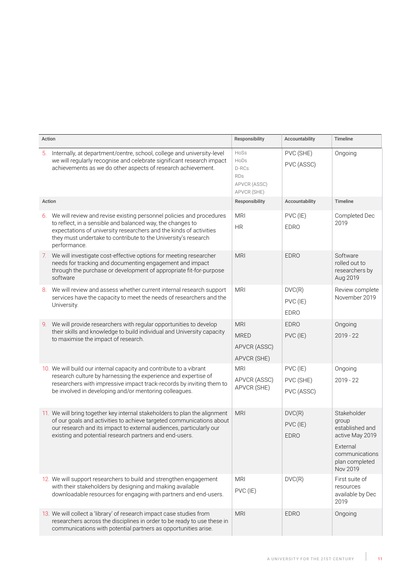| Action |                                                                                                                                                                                                                                                                                            | Responsibility                                                     | Accountability                      | <b>Timeline</b>                                                                                                        |
|--------|--------------------------------------------------------------------------------------------------------------------------------------------------------------------------------------------------------------------------------------------------------------------------------------------|--------------------------------------------------------------------|-------------------------------------|------------------------------------------------------------------------------------------------------------------------|
|        | 5. Internally, at department/centre, school, college and university-level<br>we will regularly recognise and celebrate significant research impact<br>achievements as we do other aspects of research achievement.                                                                         | HoSs<br>HoDs<br>D-RCs<br><b>RDs</b><br>APVCR (ASSC)<br>APVCR (SHE) | PVC (SHE)<br>PVC (ASSC)             | Ongoing                                                                                                                |
| Action |                                                                                                                                                                                                                                                                                            | Responsibility                                                     | Accountability                      | Timeline                                                                                                               |
| 6.     | We will review and revise existing personnel policies and procedures<br>to reflect, in a sensible and balanced way, the changes to<br>expectations of university researchers and the kinds of activities<br>they must undertake to contribute to the University's research<br>performance. | <b>MRI</b><br><b>HR</b>                                            | PVC (IE)<br><b>EDRO</b>             | Completed Dec<br>2019                                                                                                  |
| 7.     | We will investigate cost-effective options for meeting researcher<br>needs for tracking and documenting engagement and impact<br>through the purchase or development of appropriate fit-for-purpose<br>software                                                                            | <b>MRI</b>                                                         | <b>EDRO</b>                         | Software<br>rolled out to<br>researchers by<br>Aug 2019                                                                |
|        | 8. We will review and assess whether current internal research support<br>services have the capacity to meet the needs of researchers and the<br>University.                                                                                                                               | <b>MRI</b>                                                         | DVC(R)<br>PVC (IE)<br><b>EDRO</b>   | Review complete<br>November 2019                                                                                       |
| 9.     | We will provide researchers with regular opportunities to develop<br>their skills and knowledge to build individual and University capacity<br>to maximise the impact of research.                                                                                                         | <b>MRI</b><br><b>MRED</b><br>APVCR (ASSC)<br>APVCR (SHE)           | <b>EDRO</b><br>PVC (IE)             | Ongoing<br>$2019 - 22$                                                                                                 |
|        | 10. We will build our internal capacity and contribute to a vibrant<br>research culture by harnessing the experience and expertise of<br>researchers with impressive impact track-records by inviting them to<br>be involved in developing and/or mentoring colleagues.                    | <b>MRI</b><br>APVCR (ASSC)<br>APVCR (SHE)                          | PVC (IE)<br>PVC (SHE)<br>PVC (ASSC) | Ongoing<br>$2019 - 22$                                                                                                 |
|        | 11. We will bring together key internal stakeholders to plan the alignment<br>of our goals and activities to achieve targeted communications about<br>our research and its impact to external audiences, particularly our<br>existing and potential research partners and end-users.       | <b>MRI</b>                                                         | DVC(R)<br>PVC (IE)<br><b>EDRO</b>   | Stakeholder<br>group<br>established and<br>active May 2019<br>External<br>communications<br>plan completed<br>Nov 2019 |
|        | 12. We will support researchers to build and strengthen engagement<br>with their stakeholders by designing and making available<br>downloadable resources for engaging with partners and end-users.                                                                                        | <b>MRI</b><br>PVC (IE)                                             | DVC(R)                              | First suite of<br>resources<br>available by Dec<br>2019                                                                |
|        | 13. We will collect a 'library' of research impact case studies from<br>researchers across the disciplines in order to be ready to use these in<br>communications with potential partners as opportunities arise.                                                                          | <b>MRI</b>                                                         | <b>EDRO</b>                         | Ongoing                                                                                                                |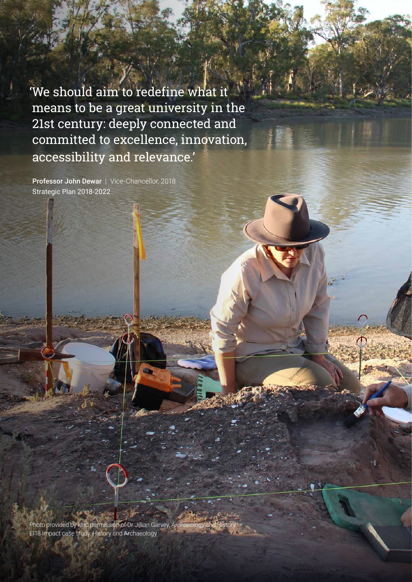'We should aim to redefine what it means to be a great university in the 21st century: deeply connected and committed to excellence, innovation, accessibility and relevance.'

Professor John Dewar | Vice-Chancellor, 2018 Strategic Plan 2018-2022

Photo provided by kind permission of Dr Jillian Garvey, Archaeolog EI18 Impact case study, History and Archaeology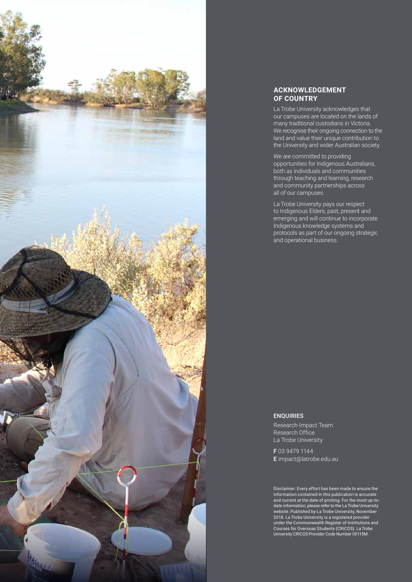

#### **ACKNOWLEDGEMENT OF COUNTRY**

La Trobe University acknowledges that our campuses are located on the lands of many traditional custodians in Victoria. We recognise their ongoing connection to the land and value their unique contribution to the University and wider Australian society.

We are committed to providing opportunities for Indigenous Australians, both as individuals and communities through teaching and learning, research and community partnerships across all of our campuses.

La Trobe University pays our respect to Indigenous Elders, past, present and emerging and will continue to incorporate Indigenous knowledge systems and protocols as part of our ongoing strategic and operational business.

#### **ENQUIRIES**

Research Impact Team Research Office La Trobe University

F 03 9479 1144 E impact@latrobe.edu.au

Disclaimer: Every effort has been made to ensure the information contained in this publication is accurate and current at the date of printing. For the most up-todate information, please refer to the La Trobe University website. Published by La Trobe University, November 2018. La Trobe University is a registered provider under the Commonwealth Register of Institutions and Courses for Overseas Students (CRICOS). La Trobe University CRICOS Provider Code Number 00115M.